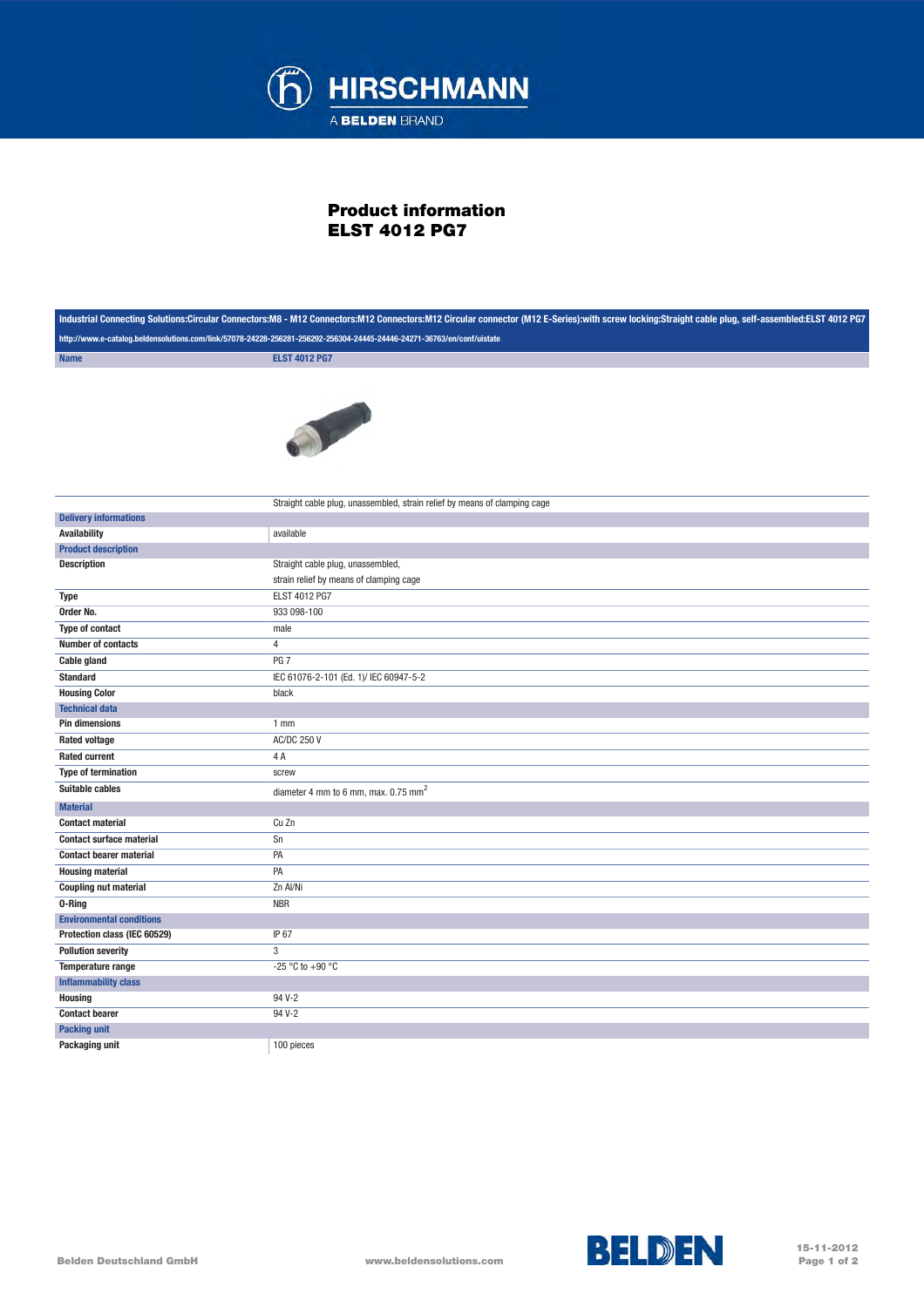

## Product information ELST 4012 PG7

| Industrial Connecting Solutions:Circular Connectors:M8 - M12 Connectors:M12 Connectors:M12 Circular connector (M12 E-Series):with screw locking:Straight cable plug, self-assembled:ELST 4012 PG7 |                                                                           |
|---------------------------------------------------------------------------------------------------------------------------------------------------------------------------------------------------|---------------------------------------------------------------------------|
| http://www.e-catalog.beldensolutions.com/link/57078-24228-256281-256292-256304-24445-24446-24271-36763/en/conf/uistate                                                                            |                                                                           |
| <b>Name</b>                                                                                                                                                                                       | <b>ELST 4012 PG7</b>                                                      |
|                                                                                                                                                                                                   | a book                                                                    |
| <b>Delivery informations</b>                                                                                                                                                                      | Straight cable plug, unassembled, strain relief by means of clamping cage |
| <b>Availability</b>                                                                                                                                                                               | available                                                                 |
| <b>Product description</b>                                                                                                                                                                        |                                                                           |
| <b>Description</b>                                                                                                                                                                                | Straight cable plug, unassembled,                                         |
|                                                                                                                                                                                                   | strain relief by means of clamping cage                                   |
| <b>Type</b>                                                                                                                                                                                       | ELST 4012 PG7                                                             |
| Order No.                                                                                                                                                                                         | 933 098-100                                                               |
| <b>Type of contact</b>                                                                                                                                                                            | male                                                                      |
| <b>Number of contacts</b>                                                                                                                                                                         | $\overline{4}$                                                            |
| <b>Cable gland</b>                                                                                                                                                                                | PG <sub>7</sub>                                                           |
| <b>Standard</b>                                                                                                                                                                                   | IEC 61076-2-101 (Ed. 1)/ IEC 60947-5-2                                    |
| <b>Housing Color</b>                                                                                                                                                                              | black                                                                     |
| <b>Technical data</b>                                                                                                                                                                             |                                                                           |
| <b>Pin dimensions</b>                                                                                                                                                                             | 1 <sub>mm</sub>                                                           |
| <b>Rated voltage</b>                                                                                                                                                                              | <b>AC/DC 250 V</b>                                                        |
| <b>Rated current</b>                                                                                                                                                                              | 4A                                                                        |
| <b>Type of termination</b>                                                                                                                                                                        | screw                                                                     |
| <b>Suitable cables</b>                                                                                                                                                                            | diameter 4 mm to 6 mm, max. 0.75 mm <sup>2</sup>                          |
| <b>Material</b>                                                                                                                                                                                   |                                                                           |
| <b>Contact material</b>                                                                                                                                                                           | Cu Zn                                                                     |
| <b>Contact surface material</b>                                                                                                                                                                   | Sn                                                                        |
| <b>Contact bearer material</b>                                                                                                                                                                    | PA                                                                        |
| <b>Housing material</b>                                                                                                                                                                           | PA                                                                        |
| <b>Coupling nut material</b>                                                                                                                                                                      | Zn Al/Ni                                                                  |
| 0-Ring                                                                                                                                                                                            | <b>NBR</b>                                                                |
| <b>Environmental conditions</b>                                                                                                                                                                   |                                                                           |
| Protection class (IEC 60529)                                                                                                                                                                      | IP 67                                                                     |
| <b>Pollution severity</b>                                                                                                                                                                         | 3                                                                         |
| Temperature range                                                                                                                                                                                 | -25 °C to +90 °C                                                          |
| <b>Inflammability class</b>                                                                                                                                                                       |                                                                           |
| <b>Housing</b>                                                                                                                                                                                    | 94 V-2                                                                    |
| <b>Contact bearer</b>                                                                                                                                                                             | 94 V-2                                                                    |
| <b>Packing unit</b>                                                                                                                                                                               |                                                                           |
| Packaging unit                                                                                                                                                                                    | 100 pieces                                                                |



15-11-2012 Page 1 of 2